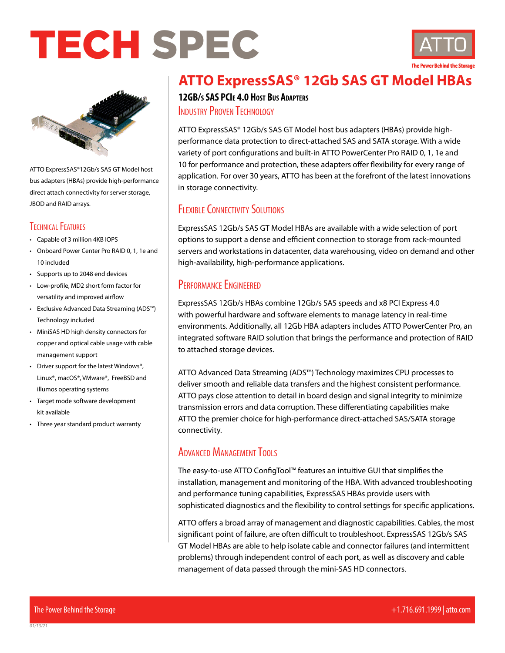## TECH SPEC





ATTO ExpressSAS®12Gb/s SAS GT Model host bus adapters (HBAs) provide high-performance direct attach connectivity for server storage, JBOD and RAID arrays.

### Technical Features

- Capable of 3 million 4KB IOPS
- Onboard Power Center Pro RAID 0, 1, 1e and 10 included
- Supports up to 2048 end devices
- Low-profile, MD2 short form factor for versatility and improved airflow
- Exclusive Advanced Data Streaming (ADS™) Technology included
- MiniSAS HD high density connectors for copper and optical cable usage with cable management support
- Driver support for the latest Windows®, Linux®, macOS®, VMware®, FreeBSD and illumos operating systems
- Target mode software development kit available
- Three year standard product warranty

## **ATTO ExpressSAS® 12Gb SAS GT Model HBAs**

**12GB/s SAS PCIe 4.0 Host Bus Adapters INDUSTRY PROVEN TECHNOLOGY** 

ATTO ExpressSAS® 12Gb/s SAS GT Model host bus adapters (HBAs) provide highperformance data protection to direct-attached SAS and SATA storage. With a wide variety of port configurations and built-in ATTO PowerCenter Pro RAID 0, 1, 1e and 10 for performance and protection, these adapters offer flexibility for every range of application. For over 30 years, ATTO has been at the forefront of the latest innovations in storage connectivity.

## FLEXIBLE CONNECTIVITY SOLUTIONS

ExpressSAS 12Gb/s SAS GT Model HBAs are available with a wide selection of port options to support a dense and efficient connection to storage from rack-mounted servers and workstations in datacenter, data warehousing, video on demand and other high-availability, high-performance applications.

## PERFORMANCE ENGINEERED

ExpressSAS 12Gb/s HBAs combine 12Gb/s SAS speeds and x8 PCI Express 4.0 with powerful hardware and software elements to manage latency in real-time environments. Additionally, all 12Gb HBA adapters includes ATTO PowerCenter Pro, an integrated software RAID solution that brings the performance and protection of RAID to attached storage devices.

ATTO Advanced Data Streaming (ADS™) Technology maximizes CPU processes to deliver smooth and reliable data transfers and the highest consistent performance. ATTO pays close attention to detail in board design and signal integrity to minimize transmission errors and data corruption. These differentiating capabilities make ATTO the premier choice for high-performance direct-attached SAS/SATA storage connectivity.

## ADVANCED MANAGEMENT TOOLS

The easy-to-use ATTO ConfigTool™ features an intuitive GUI that simplifies the installation, management and monitoring of the HBA. With advanced troubleshooting and performance tuning capabilities, ExpressSAS HBAs provide users with sophisticated diagnostics and the flexibility to control settings for specific applications.

ATTO offers a broad array of management and diagnostic capabilities. Cables, the most significant point of failure, are often difficult to troubleshoot. ExpressSAS 12Gb/s SAS GT Model HBAs are able to help isolate cable and connector failures (and intermittent problems) through independent control of each port, as well as discovery and cable management of data passed through the mini-SAS HD connectors.